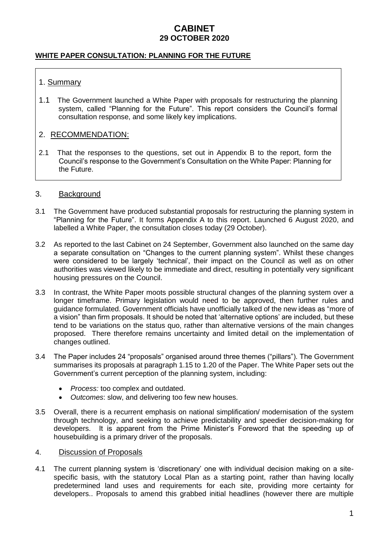### **WHITE PAPER CONSULTATION: PLANNING FOR THE FUTURE**

## 1. Summary

1.1 The Government launched a White Paper with proposals for restructuring the planning system, called "Planning for the Future". This report considers the Council's formal consultation response, and some likely key implications.

## 2. RECOMMENDATION:

2.1 That the responses to the questions, set out in Appendix B to the report, form the Council's response to the Government's Consultation on the White Paper: Planning for the Future.

### 3. Background

- 3.1 The Government have produced substantial proposals for restructuring the planning system in "Planning for the Future". It forms Appendix A to this report. Launched 6 August 2020, and labelled a White Paper, the consultation closes today (29 October).
- 3.2 As reported to the last Cabinet on 24 September, Government also launched on the same day a separate consultation on "Changes to the current planning system". Whilst these changes were considered to be largely 'technical', their impact on the Council as well as on other authorities was viewed likely to be immediate and direct, resulting in potentially very significant housing pressures on the Council.
- 3.3 In contrast, the White Paper moots possible structural changes of the planning system over a longer timeframe. Primary legislation would need to be approved, then further rules and guidance formulated. Government officials have unofficially talked of the new ideas as "more of a vision" than firm proposals. It should be noted that 'alternative options' are included, but these tend to be variations on the status quo, rather than alternative versions of the main changes proposed. There therefore remains uncertainty and limited detail on the implementation of changes outlined.
- 3.4 The Paper includes 24 "proposals" organised around three themes ("pillars"). The Government summarises its proposals at paragraph 1.15 to 1.20 of the Paper. The White Paper sets out the Government's current perception of the planning system, including:
	- *Process:* too complex and outdated.
	- *Outcomes*: slow, and delivering too few new houses.
- 3.5 Overall, there is a recurrent emphasis on national simplification/ modernisation of the system through technology, and seeking to achieve predictability and speedier decision-making for developers. It is apparent from the Prime Minister's Foreword that the speeding up of housebuilding is a primary driver of the proposals.

#### 4. Discussion of Proposals

4.1 The current planning system is 'discretionary' one with individual decision making on a sitespecific basis, with the statutory Local Plan as a starting point, rather than having locally predetermined land uses and requirements for each site, providing more certainty for developers.. Proposals to amend this grabbed initial headlines (however there are multiple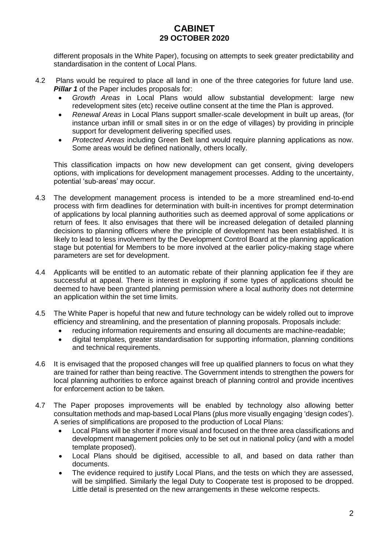different proposals in the White Paper), focusing on attempts to seek greater predictability and standardisation in the content of Local Plans.

- 4.2 Plans would be required to place all land in one of the three categories for future land use. **Pillar 1** of the Paper includes proposals for:
	- *Growth Areas* in Local Plans would allow substantial development: large new redevelopment sites (etc) receive outline consent at the time the Plan is approved.
	- *Renewal Areas* in Local Plans support smaller-scale development in built up areas, (for instance urban infill or small sites in or on the edge of villages) by providing in principle support for development delivering specified uses.
	- *Protected Areas* including Green Belt land would require planning applications as now. Some areas would be defined nationally, others locally.

This classification impacts on how new development can get consent, giving developers options, with implications for development management processes. Adding to the uncertainty, potential 'sub-areas' may occur.

- 4.3 The development management process is intended to be a more streamlined end-to-end process with firm deadlines for determination with built-in incentives for prompt determination of applications by local planning authorities such as deemed approval of some applications or return of fees. It also envisages that there will be increased delegation of detailed planning decisions to planning officers where the principle of development has been established. It is likely to lead to less involvement by the Development Control Board at the planning application stage but potential for Members to be more involved at the earlier policy-making stage where parameters are set for development.
- 4.4 Applicants will be entitled to an automatic rebate of their planning application fee if they are successful at appeal. There is interest in exploring if some types of applications should be deemed to have been granted planning permission where a local authority does not determine an application within the set time limits.
- 4.5 The White Paper is hopeful that new and future technology can be widely rolled out to improve efficiency and streamlining, and the presentation of planning proposals. Proposals include:
	- reducing information requirements and ensuring all documents are machine-readable;
	- digital templates, greater standardisation for supporting information, planning conditions and technical requirements.
- 4.6 It is envisaged that the proposed changes will free up qualified planners to focus on what they are trained for rather than being reactive. The Government intends to strengthen the powers for local planning authorities to enforce against breach of planning control and provide incentives for enforcement action to be taken.
- 4.7 The Paper proposes improvements will be enabled by technology also allowing better consultation methods and map-based Local Plans (plus more visually engaging 'design codes'). A series of simplifications are proposed to the production of Local Plans:
	- Local Plans will be shorter if more visual and focused on the three area classifications and development management policies only to be set out in national policy (and with a model template proposed).
	- Local Plans should be digitised, accessible to all, and based on data rather than documents.
	- The evidence required to justify Local Plans, and the tests on which they are assessed, will be simplified. Similarly the legal Duty to Cooperate test is proposed to be dropped. Little detail is presented on the new arrangements in these welcome respects.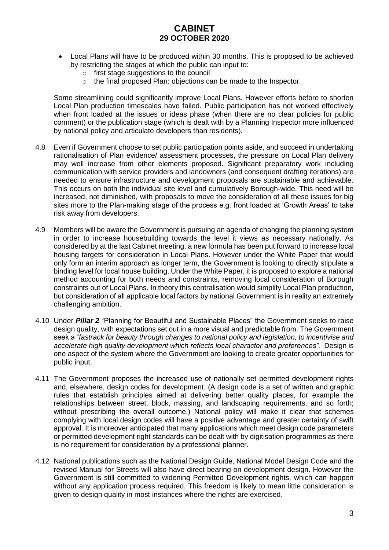- Local Plans will have to be produced within 30 months. This is proposed to be achieved by restricting the stages at which the public can input to:
	- o first stage suggestions to the council
	- o the final proposed Plan: objections can be made to the Inspector.

Some streamlining could significantly improve Local Plans. However efforts before to shorten Local Plan production timescales have failed. Public participation has not worked effectively when front loaded at the issues or ideas phase (when there are no clear policies for public comment) or the publication stage (which is dealt with by a Planning Inspector more influenced by national policy and articulate developers than residents).

- 4.8 Even if Government choose to set public participation points aside, and succeed in undertaking rationalisation of Plan evidence/ assessment processes, the pressure on Local Plan delivery may well increase from other elements proposed. Significant preparatory work including communication with service providers and landowners (and consequent drafting iterations) are needed to ensure infrastructure and development proposals are sustainable and achievable. This occurs on both the individual site level and cumulatively Borough-wide. This need will be increased, not diminished, with proposals to move the consideration of all these issues for big sites more to the Plan-making stage of the process e.g. front loaded at 'Growth Areas' to take risk away from developers.
- 4.9 Members will be aware the Government is pursuing an agenda of changing the planning system in order to increase housebuilding towards the level it views as necessary nationally. As considered by at the last Cabinet meeting, a new formula has been put forward to increase local housing targets for consideration in Local Plans. However under the White Paper that would only form an interim approach as longer term, the Government is looking to directly stipulate a binding level for local house building. Under the White Paper, it is proposed to explore a national method accounting for both needs and constraints, removing local consideration of Borough constraints out of Local Plans. In theory this centralisation would simplify Local Plan production, but consideration of all applicable local factors by national Government is in reality an extremely challenging ambition.
- 4.10 Under *Pillar 2* "Planning for Beautiful and Sustainable Places" the Government seeks to raise design quality, with expectations set out in a more visual and predictable from. The Government seek a "*fastrack for beauty through changes to national policy and legislation, to incentivise and accelerate high quality development which reflects local character and preferences".* Design is one aspect of the system where the Government are looking to create greater opportunities for public input.
- 4.11 The Government proposes the increased use of nationally set permitted development rights and, elsewhere, design codes for development. (A design code is a set of written and graphic rules that establish principles aimed at delivering better quality places, for example the relationships between street, block, massing, and landscaping requirements, and so forth; without prescribing the overall outcome.) National policy will make it clear that schemes complying with local design codes will have a positive advantage and greater certainty of swift approval. It is moreover anticipated that many applications which meet design code parameters or permitted development right standards can be dealt with by digitisation programmes as there is no requirement for consideration by a professional planner.
- 4.12 National publications such as the National Design Guide, National Model Design Code and the revised Manual for Streets will also have direct bearing on development design. However the Government is still committed to widening Permitted Development rights, which can happen without any application process required. This freedom is likely to mean little consideration is given to design quality in most instances where the rights are exercised.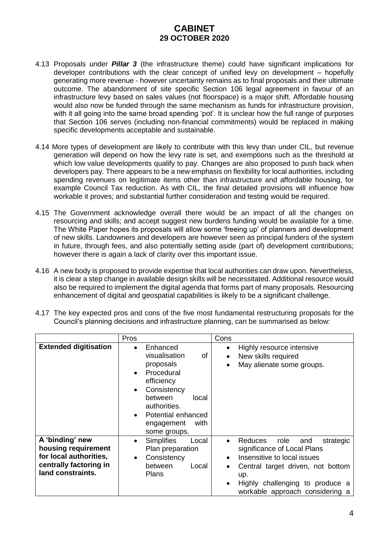- 4.13 Proposals under *Pillar 3* (the infrastructure theme) could have significant implications for developer contributions with the clear concept of unified levy on development – hopefully generating more revenue - however uncertainty remains as to final proposals and their ultimate outcome. The abandonment of site specific Section 106 legal agreement in favour of an infrastructure levy based on sales values (not floorspace) is a major shift. Affordable housing would also now be funded through the same mechanism as funds for infrastructure provision, with it all going into the same broad spending 'pot'. It is unclear how the full range of purposes that Section 106 serves (including non-financial commitments) would be replaced in making specific developments acceptable and sustainable.
- 4.14 More types of development are likely to contribute with this levy than under CIL, but revenue generation will depend on how the levy rate is set, and exemptions such as the threshold at which low value developments qualify to pay. Changes are also proposed to push back when developers pay. There appears to be a new emphasis on flexibility for local authorities, including spending revenues on legitimate items other than infrastructure and affordable housing, for example Council Tax reduction. As with CIL, the final detailed provisions will influence how workable it proves; and substantial further consideration and testing would be required.
- 4.15 The Government acknowledge overall there would be an impact of all the changes on resourcing and skills; and accept suggest new burdens funding would be available for a time. The White Paper hopes its proposals will allow some 'freeing up' of planners and development of new skills. Landowners and developers are however seen as principal funders of the system in future, through fees, and also potentially setting aside (part of) development contributions; however there is again a lack of clarity over this important issue.
- 4.16 A new body is proposed to provide expertise that local authorities can draw upon. Nevertheless, it is clear a step change in available design skills will be necessitated. Additional resource would also be required to implement the digital agenda that forms part of many proposals. Resourcing enhancement of digital and geospatial capabilities is likely to be a significant challenge.
- 4.17 The key expected pros and cons of the five most fundamental restructuring proposals for the Council's planning decisions and infrastructure planning, can be summarised as below:

|                                                                                                                 | Pros                                                                                                                                                                                                                                        | Cons                                                                                                                                                                                                                                                            |
|-----------------------------------------------------------------------------------------------------------------|---------------------------------------------------------------------------------------------------------------------------------------------------------------------------------------------------------------------------------------------|-----------------------------------------------------------------------------------------------------------------------------------------------------------------------------------------------------------------------------------------------------------------|
| <b>Extended digitisation</b>                                                                                    | Enhanced<br>$\bullet$<br>visualisation<br>of<br>proposals<br>Procedural<br>$\bullet$<br>efficiency<br>Consistency<br>$\bullet$<br>between<br>local<br>authorities.<br>Potential enhanced<br>$\bullet$<br>with<br>engagement<br>some groups. | Highly resource intensive<br>$\bullet$<br>New skills required<br>$\bullet$<br>May alienate some groups.                                                                                                                                                         |
| A 'binding' new<br>housing requirement<br>for local authorities,<br>centrally factoring in<br>land constraints. | <b>Simplifies</b><br>Local<br>٠<br>Plan preparation<br>Consistency<br>$\bullet$<br>between<br>Local<br>Plans                                                                                                                                | Reduces<br>role<br>and<br>strategic<br>$\bullet$<br>significance of Local Plans<br>Insensitive to local issues<br>$\bullet$<br>Central target driven, not bottom<br>٠<br>up.<br>Highly challenging to produce a<br>$\bullet$<br>workable approach considering a |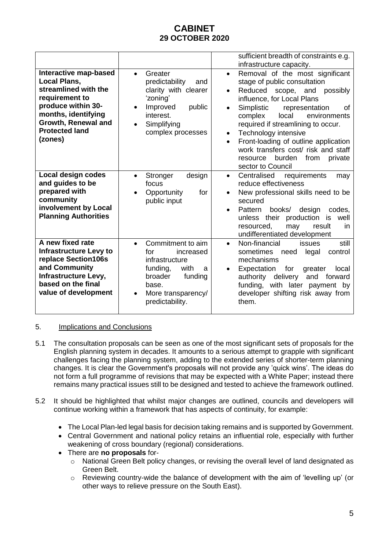|                                                                                                                                                                                                |                                                                                                                                                                                    | sufficient breadth of constraints e.g.<br>infrastructure capacity.                                                                                                                                                                                                                                                                                                                                                                                                    |
|------------------------------------------------------------------------------------------------------------------------------------------------------------------------------------------------|------------------------------------------------------------------------------------------------------------------------------------------------------------------------------------|-----------------------------------------------------------------------------------------------------------------------------------------------------------------------------------------------------------------------------------------------------------------------------------------------------------------------------------------------------------------------------------------------------------------------------------------------------------------------|
| Interactive map-based<br><b>Local Plans,</b><br>streamlined with the<br>requirement to<br>produce within 30-<br>months, identifying<br>Growth, Renewal and<br><b>Protected land</b><br>(zones) | Greater<br>$\bullet$<br>predictability<br>and<br>clarity with clearer<br>'zoning'<br>public<br>Improved<br>$\bullet$<br>interest.<br>Simplifying<br>$\bullet$<br>complex processes | Removal of the most significant<br>$\bullet$<br>stage of public consultation<br>Reduced scope, and<br>possibly<br>$\bullet$<br>influence, for Local Plans<br>Simplistic<br>representation<br>οf<br>$\bullet$<br>local<br>environments<br>complex<br>required if streamlining to occur.<br>Technology intensive<br>$\bullet$<br>Front-loading of outline application<br>work transfers cost/ risk and staff<br>resource burden<br>from<br>private<br>sector to Council |
| Local design codes<br>and guides to be<br>prepared with<br>community<br>involvement by Local<br><b>Planning Authorities</b>                                                                    | Stronger<br>design<br>$\bullet$<br>focus<br>Opportunity<br>for<br>$\bullet$<br>public input                                                                                        | Centralised<br>requirements<br>may<br>$\bullet$<br>reduce effectiveness<br>New professional skills need to be<br>$\bullet$<br>secured<br>design<br>Pattern<br>books/<br>codes,<br>$\bullet$<br>unless their production<br>is well<br>resourced,<br>may<br>result<br>in<br>undifferentiated development                                                                                                                                                                |
| A new fixed rate<br><b>Infrastructure Levy to</b><br>replace Section106s<br>and Community<br>Infrastructure Levy,<br>based on the final<br>value of development                                | Commitment to aim<br>$\bullet$<br>increased<br>for<br>infrastructure<br>funding,<br>with<br>a<br>broader<br>funding<br>base.<br>More transparency/<br>$\bullet$<br>predictability. | Non-financial<br>still<br>issues<br>sometimes<br>legal<br>control<br>need<br>mechanisms<br>Expectation<br>for<br>local<br>greater<br>authority delivery<br>and<br>forward<br>funding, with later payment by<br>developer shifting risk away from<br>them.                                                                                                                                                                                                             |

## 5. Implications and Conclusions

- 5.1 The consultation proposals can be seen as one of the most significant sets of proposals for the English planning system in decades. It amounts to a serious attempt to grapple with significant challenges facing the planning system, adding to the extended series of shorter-term planning changes. It is clear the Government's proposals will not provide any 'quick wins'. The ideas do not form a full programme of revisions that may be expected with a White Paper; instead there remains many practical issues still to be designed and tested to achieve the framework outlined.
- 5.2 It should be highlighted that whilst major changes are outlined, councils and developers will continue working within a framework that has aspects of continuity, for example:
	- The Local Plan-led legal basis for decision taking remains and is supported by Government.
	- Central Government and national policy retains an influential role, especially with further weakening of cross boundary (regional) considerations.
	- There are **no proposals** for
		- o National Green Belt policy changes, or revising the overall level of land designated as Green Belt.
		- $\circ$  Reviewing country-wide the balance of development with the aim of 'levelling up' (or other ways to relieve pressure on the South East).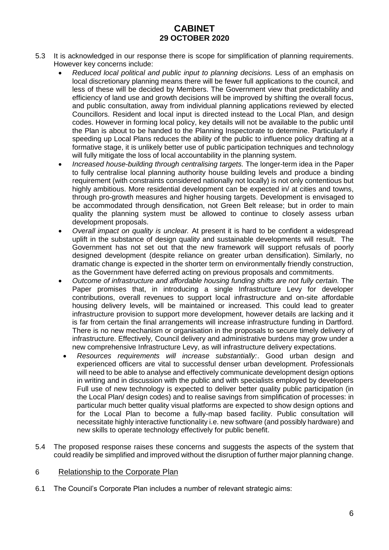- 5.3 It is acknowledged in our response there is scope for simplification of planning requirements. However key concerns include:
	- *Reduced local political and public input to planning decisions.* Less of an emphasis on local discretionary planning means there will be fewer full applications to the council, and less of these will be decided by Members. The Government view that predictability and efficiency of land use and growth decisions will be improved by shifting the overall focus, and public consultation, away from individual planning applications reviewed by elected Councillors. Resident and local input is directed instead to the Local Plan, and design codes. However in forming local policy, key details will not be available to the public until the Plan is about to be handed to the Planning Inspectorate to determine. Particularly if speeding up Local Plans reduces the ability of the public to influence policy drafting at a formative stage, it is unlikely better use of public participation techniques and technology will fully mitigate the loss of local accountability in the planning system.
	- *Increased house-building through centralising targets.* The longer-term idea in the Paper to fully centralise local planning authority house building levels and produce a binding requirement (with constraints considered nationally not locally) is not only contentious but highly ambitious. More residential development can be expected in/ at cities and towns, through pro-growth measures and higher housing targets. Development is envisaged to be accommodated through densification, not Green Belt release; but in order to main quality the planning system must be allowed to continue to closely assess urban development proposals.
	- *Overall impact on quality is unclear.* At present it is hard to be confident a widespread uplift in the substance of design quality and sustainable developments will result. The Government has not set out that the new framework will support refusals of poorly designed development (despite reliance on greater urban densification). Similarly, no dramatic change is expected in the shorter term on environmentally friendly construction, as the Government have deferred acting on previous proposals and commitments.
	- *Outcome of infrastructure and affordable housing funding shifts are not fully certain.* The Paper promises that, in introducing a single Infrastructure Levy for developer contributions, overall revenues to support local infrastructure and on-site affordable housing delivery levels, will be maintained or increased. This could lead to greater infrastructure provision to support more development, however details are lacking and it is far from certain the final arrangements will increase infrastructure funding in Dartford. There is no new mechanism or organisation in the proposals to secure timely delivery of infrastructure. Effectively*,* Council delivery and administrative burdens may grow under a new comprehensive Infrastructure Levy, as will infrastructure delivery expectations.
	- *Resources requirements will increase substantially:*. Good urban design and experienced officers are vital to successful denser urban development. Professionals will need to be able to analyse and effectively communicate development design options in writing and in discussion with the public and with specialists employed by developers Full use of new technology is expected to deliver better quality public participation (in the Local Plan/ design codes) and to realise savings from simplification of processes: in particular much better quality visual platforms are expected to show design options and for the Local Plan to become a fully-map based facility. Public consultation will necessitate highly interactive functionality i.e. new software (and possibly hardware) and new skills to operate technology effectively for public benefit.
- 5.4 The proposed response raises these concerns and suggests the aspects of the system that could readily be simplified and improved without the disruption of further major planning change.

## 6 Relationship to the Corporate Plan

6.1 The Council's Corporate Plan includes a number of relevant strategic aims: